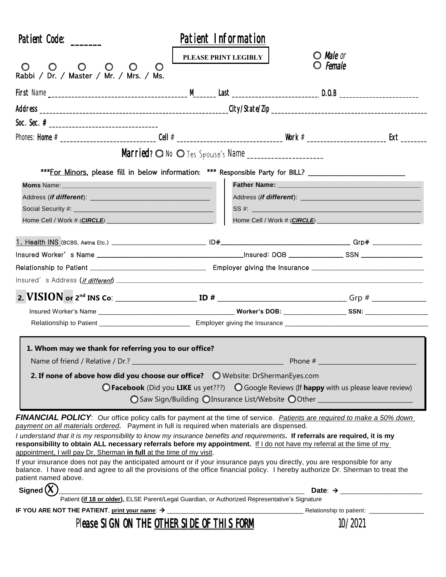| Patient Code:                                                                                                                                                                                                                                                                         |                                                                                                               | Patient Information                                                                                            |                     |  |  |
|---------------------------------------------------------------------------------------------------------------------------------------------------------------------------------------------------------------------------------------------------------------------------------------|---------------------------------------------------------------------------------------------------------------|----------------------------------------------------------------------------------------------------------------|---------------------|--|--|
|                                                                                                                                                                                                                                                                                       | PLEASE PRINT LEGIBLY                                                                                          | <b>O</b> Male or                                                                                               |                     |  |  |
| $\circ$<br>$\circ$<br>Rabbi / Dr. / Master / Mr. / Mrs. / Ms.                                                                                                                                                                                                                         | $\circ$                                                                                                       | O <i>Female</i>                                                                                                |                     |  |  |
|                                                                                                                                                                                                                                                                                       |                                                                                                               |                                                                                                                |                     |  |  |
|                                                                                                                                                                                                                                                                                       |                                                                                                               |                                                                                                                |                     |  |  |
|                                                                                                                                                                                                                                                                                       |                                                                                                               |                                                                                                                |                     |  |  |
|                                                                                                                                                                                                                                                                                       |                                                                                                               |                                                                                                                |                     |  |  |
|                                                                                                                                                                                                                                                                                       |                                                                                                               |                                                                                                                |                     |  |  |
|                                                                                                                                                                                                                                                                                       |                                                                                                               |                                                                                                                |                     |  |  |
|                                                                                                                                                                                                                                                                                       | ***For Minors, please fill in below information: *** Responsible Party for BILL?                              |                                                                                                                |                     |  |  |
|                                                                                                                                                                                                                                                                                       |                                                                                                               | Father Name: 2008 2010 2020 2021 2021 2022 2022 2023 2024 2022 2023 2024 2022 2023 2024 2022 2023 2024 2022 20 |                     |  |  |
|                                                                                                                                                                                                                                                                                       |                                                                                                               | SS #:                                                                                                          |                     |  |  |
|                                                                                                                                                                                                                                                                                       |                                                                                                               |                                                                                                                |                     |  |  |
|                                                                                                                                                                                                                                                                                       |                                                                                                               |                                                                                                                |                     |  |  |
|                                                                                                                                                                                                                                                                                       |                                                                                                               |                                                                                                                |                     |  |  |
|                                                                                                                                                                                                                                                                                       |                                                                                                               |                                                                                                                |                     |  |  |
|                                                                                                                                                                                                                                                                                       |                                                                                                               |                                                                                                                |                     |  |  |
|                                                                                                                                                                                                                                                                                       |                                                                                                               |                                                                                                                |                     |  |  |
|                                                                                                                                                                                                                                                                                       |                                                                                                               |                                                                                                                |                     |  |  |
|                                                                                                                                                                                                                                                                                       |                                                                                                               |                                                                                                                |                     |  |  |
|                                                                                                                                                                                                                                                                                       |                                                                                                               |                                                                                                                |                     |  |  |
| 1. Whom may we thank for referring you to our office?                                                                                                                                                                                                                                 |                                                                                                               |                                                                                                                |                     |  |  |
| Name of friend / Relative / Dr.? ____                                                                                                                                                                                                                                                 |                                                                                                               |                                                                                                                |                     |  |  |
| 2. If none of above how did you choose our office? $\bigcirc$ Website: DrShermanEyes.com                                                                                                                                                                                              |                                                                                                               |                                                                                                                |                     |  |  |
|                                                                                                                                                                                                                                                                                       | $\bigcirc$ Facebook (Did you LIKE us yet???) $\bigcirc$ Google Reviews (If happy with us please leave review) |                                                                                                                |                     |  |  |
|                                                                                                                                                                                                                                                                                       | ◯ Saw Sign/Building ◯ Insurance List/Website ◯ Other ___________________________                              |                                                                                                                |                     |  |  |
| <b>FINANCIAL POLICY</b> : Our office policy calls for payment at the time of service. Patients are required to make a 50% down                                                                                                                                                        |                                                                                                               |                                                                                                                |                     |  |  |
| payment on all materials ordered. Payment in full is required when materials are dispensed.                                                                                                                                                                                           |                                                                                                               |                                                                                                                |                     |  |  |
| I understand that it is my responsibility to know my insurance benefits and requirements. If referrals are required, it is my<br>responsibility to obtain ALL necessary referrals before my appointment. If I do not have my referral at the time of my                               |                                                                                                               |                                                                                                                |                     |  |  |
| appointment, I will pay Dr. Sherman in full at the time of my visit.                                                                                                                                                                                                                  |                                                                                                               |                                                                                                                |                     |  |  |
| If your insurance does not pay the anticipated amount or if your insurance pays you directly, you are responsible for any<br>balance. I have read and agree to all the provisions of the office financial policy. I hereby authorize Dr. Sherman to treat the<br>patient named above. |                                                                                                               |                                                                                                                |                     |  |  |
| Signed $(X)$                                                                                                                                                                                                                                                                          | Dat<br>Patient (if 18 or older), ELSE Parent/Legal Guardian, or Authorized Representative's Signature         |                                                                                                                | Date: $\rightarrow$ |  |  |
|                                                                                                                                                                                                                                                                                       |                                                                                                               |                                                                                                                |                     |  |  |
|                                                                                                                                                                                                                                                                                       |                                                                                                               |                                                                                                                |                     |  |  |
|                                                                                                                                                                                                                                                                                       | Please SIGN ON THE OTHER SIDE OF THIS FORM                                                                    |                                                                                                                | 10/2021             |  |  |